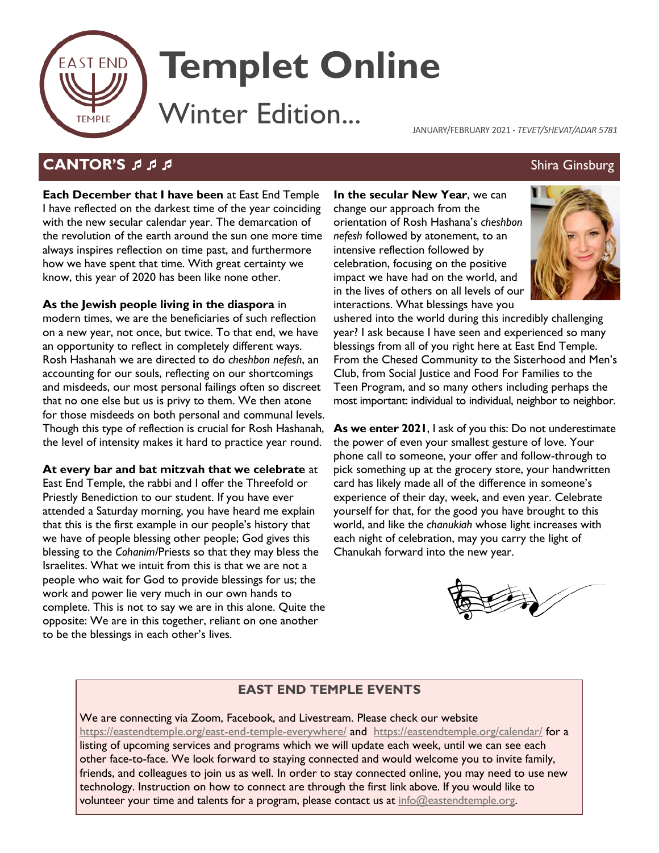

# **Templet Online**

Winter Edition...

JANUARY/FEBRUARY 2021 - *TEVET/SHEVAT/ADAR 5781*

# **CANTOR'S SES IN STRAIGHT AND STRAIGHT AND SHIRA GINSBURG ASSOCIATE**

**Each December that I have been** at East End Temple I have reflected on the darkest time of the year coinciding with the new secular calendar year. The demarcation of the revolution of the earth around the sun one more time always inspires reflection on time past, and furthermore how we have spent that time. With great certainty we know, this year of 2020 has been like none other.

**As the Jewish people living in the diaspora** in

modern times, we are the beneficiaries of such reflection on a new year, not once, but twice. To that end, we have an opportunity to reflect in completely different ways. Rosh Hashanah we are directed to do *cheshbon nefesh*, an accounting for our souls, reflecting on our shortcomings and misdeeds, our most personal failings often so discreet that no one else but us is privy to them. We then atone for those misdeeds on both personal and communal levels. Though this type of reflection is crucial for Rosh Hashanah, the level of intensity makes it hard to practice year round.

**At every bar and bat mitzvah that we celebrate** at

East End Temple, the rabbi and I offer the Threefold or Priestly Benediction to our student. If you have ever attended a Saturday morning, you have heard me explain that this is the first example in our people's history that we have of people blessing other people; God gives this blessing to the *Cohanim/*Priests so that they may bless the Israelites. What we intuit from this is that we are not a people who wait for God to provide blessings for us; the work and power lie very much in our own hands to complete. This is not to say we are in this alone. Quite the opposite: We are in this together, reliant on one another to be the blessings in each other's lives.

**In the secular New Year**, we can change our approach from the orientation of Rosh Hashana's *cheshbon nefesh* followed by atonement, to an intensive reflection followed by celebration, focusing on the positive impact we have had on the world, and in the lives of others on all levels of our interactions. What blessings have you



ushered into the world during this incredibly challenging year? I ask because I have seen and experienced so many blessings from all of you right here at East End Temple. From the Chesed Community to the Sisterhood and Men's Club, from Social Justice and Food For Families to the Teen Program, and so many others including perhaps the most important: individual to individual, neighbor to neighbor.

**As we enter 2021**, I ask of you this: Do not underestimate the power of even your smallest gesture of love. Your phone call to someone, your offer and follow-through to pick something up at the grocery store, your handwritten card has likely made all of the difference in someone's experience of their day, week, and even year. Celebrate yourself for that, for the good you have brought to this world, and like the *chanukiah* whose light increases with each night of celebration, may you carry the light of Chanukah forward into the new year.



# **EAST END TEMPLE EVENTS**

We are connecting via Zoom, Facebook, and Livestream. Please check our website <https://eastendtemple.org/east-end-temple-everywhere/> and <https://eastendtemple.org/calendar/> for a listing of upcoming services and programs which we will update each week, until we can see each other face-to-face. We look forward to staying connected and would welcome you to invite family, friends, and colleagues to join us as well. In order to stay connected online, you may need to use new technology. Instruction on how to connect are through the first link above. If you would like to volunteer your time and talents for a program, please contact us at info@eastendtemple.org.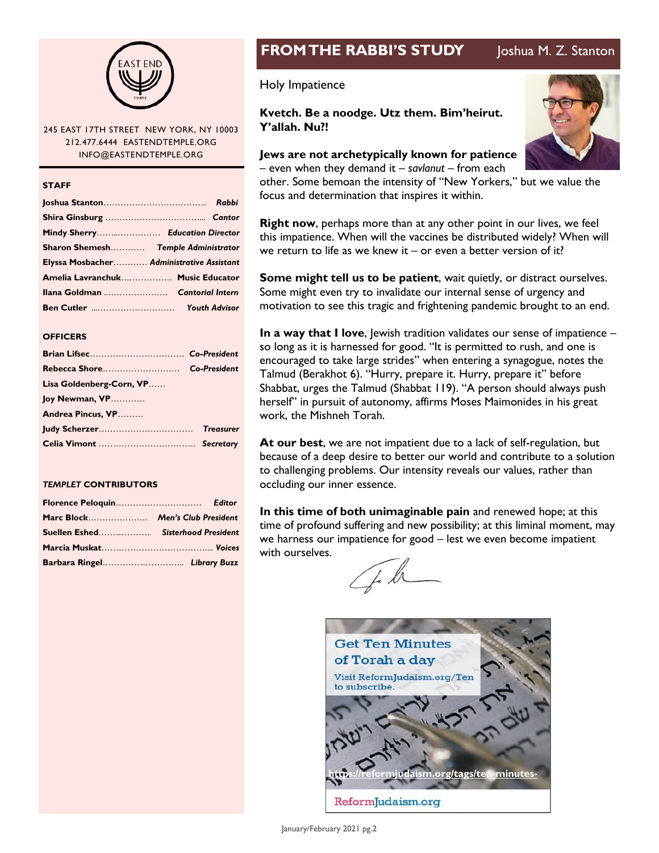

#### 245 EAST 17TH STREET NEW YORK, NY 10003 212.477.6444 EASTENDTEMPLE.ORG INFO@EASTENDTEMPLE.ORG

#### **STAFF**

| Mindy Sherry Education Director           |  |
|-------------------------------------------|--|
| Sharon Shemesh Temple Administrator       |  |
| Elyssa Mosbacher Administrative Assistant |  |
| Amelia Lavranchuk Music Educator          |  |
|                                           |  |
|                                           |  |

#### **OFFICERS**

|                          | Co-President     |
|--------------------------|------------------|
| Lisa Goldenberg-Corn, VP |                  |
| Joy Newman, VP           |                  |
| Andrea Pincus, VP        |                  |
|                          | <b>Treasurer</b> |
|                          |                  |

#### *TEMPLET* **CONTRIBUTORS**

| Marc Block Men's Club President    |  |
|------------------------------------|--|
| Suellen Eshed Sisterhood President |  |
|                                    |  |
|                                    |  |

# **FROM THE RABBI'S STUDY** Joshua M. Z. Stanton

#### Holy Impatience

**Kvetch. Be a noodge. Utz them. Bim'heirut. Y'allah. Nu?!**

#### **Jews are not archetypically known for patience**

– even when they demand it – *savlanut* – from each

other. Some bemoan the intensity of "New Yorkers," but we value the focus and determination that inspires it within.

**Right now**, perhaps more than at any other point in our lives, we feel this impatience. When will the vaccines be distributed widely? When will we return to life as we knew it – or even a better version of it?

**Some might tell us to be patient**, wait quietly, or distract ourselves. Some might even try to invalidate our internal sense of urgency and motivation to see this tragic and frightening pandemic brought to an end.

**In a way that I love**, Jewish tradition validates our sense of impatience – so long as it is harnessed for good. "It is permitted to rush, and one is encouraged to take large strides" when entering a synagogue, notes the Talmud (Berakhot 6). "Hurry, prepare it. Hurry, prepare it" before Shabbat, urges the Talmud (Shabbat 119). "A person should always push herself" in pursuit of autonomy, affirms Moses Maimonides in his great work, the Mishneh Torah.

**At our best**, we are not impatient due to a lack of self-regulation, but because of a deep desire to better our world and contribute to a solution to challenging problems. Our intensity reveals our values, rather than occluding our inner essence.

**In this time of both unimaginable pain** and renewed hope; at this time of profound suffering and new possibility; at this liminal moment, may we harness our impatience for good – lest we even become impatient with ourselves.



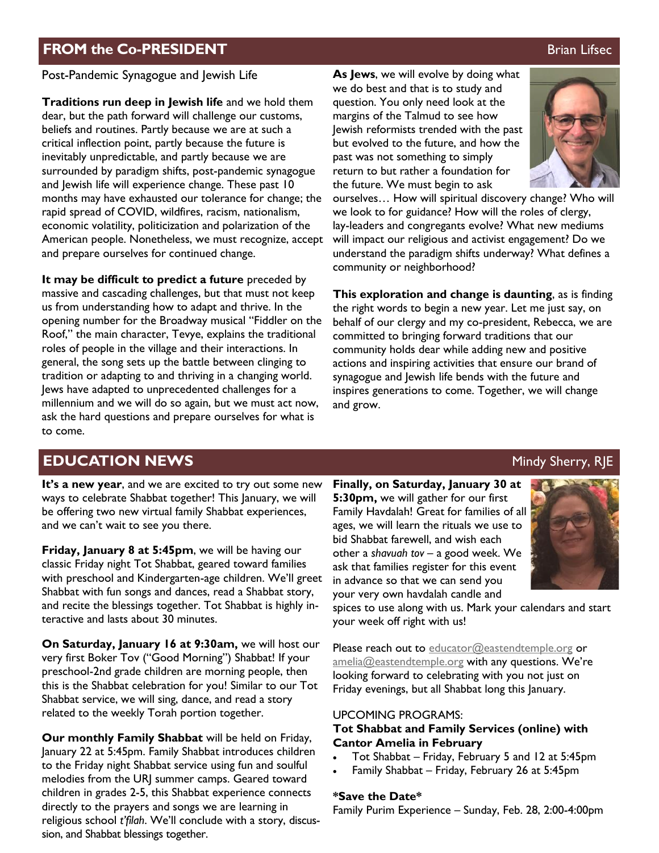# **FROM the Co-PRESIDENT Brian Lifsec Brian Lifsec**

Post-Pandemic Synagogue and Jewish Life

**Traditions run deep in Jewish life** and we hold them dear, but the path forward will challenge our customs, beliefs and routines. Partly because we are at such a critical inflection point, partly because the future is inevitably unpredictable, and partly because we are surrounded by paradigm shifts, post-pandemic synagogue and lewish life will experience change. These past 10 months may have exhausted our tolerance for change; the rapid spread of COVID, wildfires, racism, nationalism, economic volatility, politicization and polarization of the American people. Nonetheless, we must recognize, accept and prepare ourselves for continued change.

**It may be difficult to predict a future** preceded by massive and cascading challenges, but that must not keep us from understanding how to adapt and thrive. In the opening number for the Broadway musical "Fiddler on the Roof," the main character, Tevye, explains the traditional roles of people in the village and their interactions. In general, the song sets up the battle between clinging to tradition or adapting to and thriving in a changing world. Jews have adapted to unprecedented challenges for a millennium and we will do so again, but we must act now, ask the hard questions and prepare ourselves for what is to come.

**As Jews**, we will evolve by doing what we do best and that is to study and question. You only need look at the margins of the Talmud to see how Jewish reformists trended with the past but evolved to the future, and how the past was not something to simply return to but rather a foundation for the future. We must begin to ask

ourselves… How will spiritual discovery change? Who will we look to for guidance? How will the roles of clergy, lay-leaders and congregants evolve? What new mediums will impact our religious and activist engagement? Do we understand the paradigm shifts underway? What defines a community or neighborhood?

**This exploration and change is daunting**, as is finding the right words to begin a new year. Let me just say, on behalf of our clergy and my co-president, Rebecca, we are committed to bringing forward traditions that our community holds dear while adding new and positive actions and inspiring activities that ensure our brand of synagogue and Jewish life bends with the future and inspires generations to come. Together, we will change and grow.

# **EDUCATION NEWS** Manual Control of the Mindy Sherry, RJE

**It's a new year**, and we are excited to try out some new ways to celebrate Shabbat together! This January, we will be offering two new virtual family Shabbat experiences, and we can't wait to see you there.

**Friday, January 8 at 5:45pm**, we will be having our classic Friday night Tot Shabbat, geared toward families with preschool and Kindergarten-age children. We'll greet Shabbat with fun songs and dances, read a Shabbat story, and recite the blessings together. Tot Shabbat is highly interactive and lasts about 30 minutes.

**On Saturday, January 16 at 9:30am,** we will host our very first Boker Tov ("Good Morning") Shabbat! If your preschool-2nd grade children are morning people, then this is the Shabbat celebration for you! Similar to our Tot Shabbat service, we will sing, dance, and read a story related to the weekly Torah portion together.

**Our monthly Family Shabbat** will be held on Friday, January 22 at 5:45pm. Family Shabbat introduces children to the Friday night Shabbat service using fun and soulful melodies from the URJ summer camps. Geared toward children in grades 2-5, this Shabbat experience connects directly to the prayers and songs we are learning in religious school *t'filah*. We'll conclude with a story, discussion, and Shabbat blessings together.

**Finally, on Saturday, January 30 at 5:30pm,** we will gather for our first Family Havdalah! Great for families of all ages, we will learn the rituals we use to bid Shabbat farewell, and wish each other a *shavuah tov* – a good week. We ask that families register for this event in advance so that we can send you your very own havdalah candle and



spices to use along with us. Mark your calendars and start your week off right with us!

Please reach out to [educator@eastendtemple.org](mailto:educator@eastendtemple.org) or [amelia@eastendtemple.org](mailto:amelia@eastendtemple.org) with any questions. We're looking forward to celebrating with you not just on Friday evenings, but all Shabbat long this January.

#### UPCOMING PROGRAMS:

#### **Tot Shabbat and Family Services (online) with Cantor Amelia in February**

- Tot Shabbat Friday, February 5 and 12 at 5:45pm
- Family Shabbat Friday, February 26 at 5:45pm

#### **\*Save the Date\***

Family Purim Experience – Sunday, Feb. 28, 2:00-4:00pm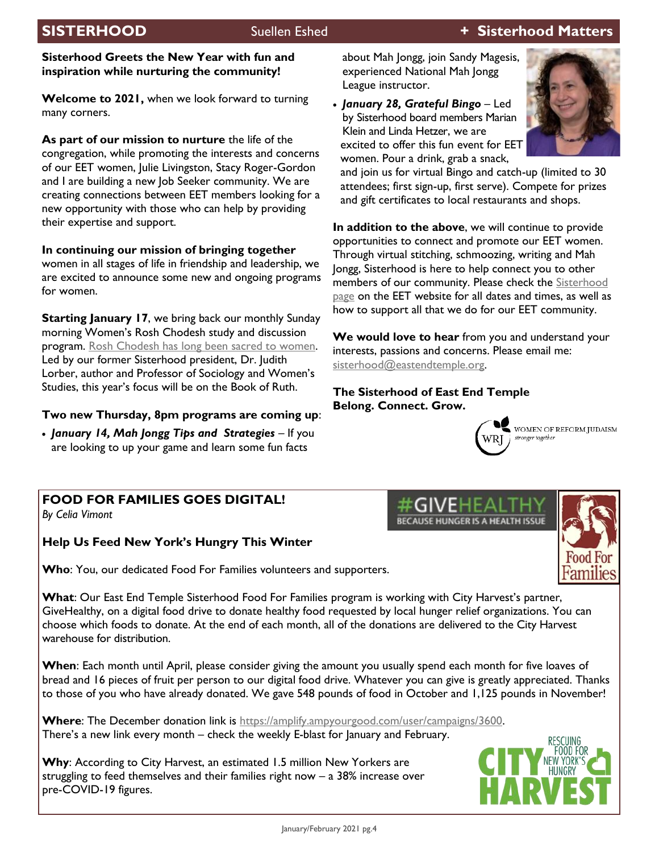### **Sisterhood Greets the New Year with fun and inspiration while nurturing the community!**

**Welcome to 2021,** when we look forward to turning many corners.

**As part of our mission to nurture** the life of the congregation, while promoting the interests and concerns of our EET women, Julie Livingston, Stacy Roger-Gordon and I are building a new Job Seeker community. We are creating connections between EET members looking for a new opportunity with those who can help by providing their expertise and support.

**In continuing our mission of bringing together**  women in all stages of life in friendship and leadership, we are excited to announce some new and ongoing programs for women.

**Starting January 17, we bring back our monthly Sunday** morning Women's Rosh Chodesh study and discussion program. [Rosh Chodesh has long been sacred to women.](https://www.myjewishlearning.com/article/women-and-rosh-chodesh/) Led by our former Sisterhood president, Dr. Judith Lorber, author and Professor of Sociology and Women's Studies, this year's focus will be on the Book of Ruth.

## **Two new Thursday, 8pm programs are coming up**:

• *January 14, Mah Jongg Tips and Strategies* – If you are looking to up your game and learn some fun facts

about Mah Jongg, join Sandy Magesis, experienced National Mah Jongg League instructor.

• *January 28, Grateful Bingo* – Led by Sisterhood board members Marian Klein and Linda Hetzer, we are excited to offer this fun event for EET women. Pour a drink, grab a snack,



and join us for virtual Bingo and catch-up (limited to 30 attendees; first sign-up, first serve). Compete for prizes and gift certificates to local restaurants and shops.

**In addition to the above**, we will continue to provide opportunities to connect and promote our EET women. Through virtual stitching, schmoozing, writing and Mah Jongg, Sisterhood is here to help connect you to other members of our community. Please check the Sisterhood [page](https://eastendtemple.org/sisterhood/) on the EET website for all dates and times, as well as how to support all that we do for our EET community.

**We would love to hear** from you and understand your interests, passions and concerns. Please email me: [sisterhood@eastendtemple.org.](mailto:sisterhood@eastendtemple.org)

**BECAUSE HUNGER IS A HEALTH ISSUE** 

**The Sisterhood of East End Temple Belong. Connect. Grow.**



WOMEN OF REFORM JUDAISM stronger together

#### **FOOD FOR FAMILIES GOES DIGITAL!** *By Celia Vimont*

# **Help Us Feed New York's Hungry This Winter**

**Who**: You, our dedicated Food For Families volunteers and supporters.

**What**: Our East End Temple Sisterhood Food For Families program is working with City Harvest's partner, GiveHealthy, on a digital food drive to donate healthy food requested by local hunger relief organizations. You can choose which foods to donate. At the end of each month, all of the donations are delivered to the City Harvest warehouse for distribution.

**When**: Each month until April, please consider giving the amount you usually spend each month for five loaves of bread and 16 pieces of fruit per person to our digital food drive. Whatever you can give is greatly appreciated. Thanks to those of you who have already donated. We gave 548 pounds of food in October and 1,125 pounds in November!

**Where**: The December donation link is [https://amplify.ampyourgood.com/user/campaigns/3600.](https://amplify.ampyourgood.com/user/campaigns/3600) There's a new link every month – check the weekly E-blast for January and February.

**Why**: According to City Harvest, an estimated 1.5 million New Yorkers are struggling to feed themselves and their families right now – a 38% increase over pre-COVID-19 figures.

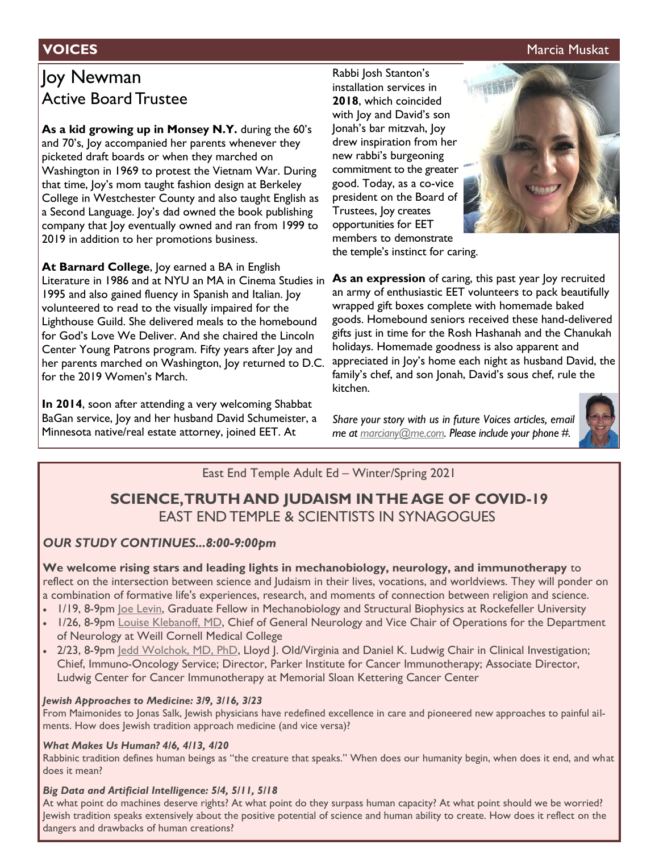### **VOICES** Marcia Muskat Muskat Muskat Muskat Muskat Muskat Muskat Muskat Muskat Muskat Muskat Muskat Muskat Muskat

# Joy Newman Active Board Trustee

**As a kid growing up in Monsey N.Y.** during the 60's and 70's, Joy accompanied her parents whenever they picketed draft boards or when they marched on Washington in 1969 to protest the Vietnam War. During that time, Joy's mom taught fashion design at Berkeley College in Westchester County and also taught English as a Second Language. Joy's dad owned the book publishing company that Joy eventually owned and ran from 1999 to 2019 in addition to her promotions business.

**At Barnard College**, Joy earned a BA in English Literature in 1986 and at NYU an MA in Cinema Studies in 1995 and also gained fluency in Spanish and Italian. Joy volunteered to read to the visually impaired for the Lighthouse Guild. She delivered meals to the homebound for God's Love We Deliver. And she chaired the Lincoln Center Young Patrons program. Fifty years after Joy and her parents marched on Washington, Joy returned to D.C. for the 2019 Women's March.

**In 2014**, soon after attending a very welcoming Shabbat BaGan service, Joy and her husband David Schumeister, a Minnesota native/real estate attorney, joined EET. At

Rabbi Josh Stanton's installation services in **2018**, which coincided with Joy and David's son Jonah's bar mitzvah, Joy drew inspiration from her new rabbi's burgeoning commitment to the greater good. Today, as a co-vice president on the Board of Trustees, Joy creates opportunities for EET members to demonstrate



the temple's instinct for caring.

**As an expression** of caring, this past year Joy recruited an army of enthusiastic EET volunteers to pack beautifully wrapped gift boxes complete with homemade baked goods. Homebound seniors received these hand-delivered gifts just in time for the Rosh Hashanah and the Chanukah holidays. Homemade goodness is also apparent and appreciated in Joy's home each night as husband David, the family's chef, and son Jonah, David's sous chef, rule the kitchen.

*Share your story with us in future Voices articles, email me at [marciany@me.com.](mailto:marciany@me.com) Please include your phone #.* 



## East End Temple Adult Ed – Winter/Spring 2021

# **SCIENCE, TRUTH AND JUDAISM IN THE AGE OF COVID-19** EAST END TEMPLE & SCIENTISTS IN SYNAGOGUES

## *OUR STUDY CONTINUES...8:00-9:00pm*

**We welcome rising stars and leading lights in mechanobiology, neurology, and immunotherapy** to reflect on the intersection between science and Judaism in their lives, vocations, and worldviews. They will ponder on a combination of formative life's experiences, research, and moments of connection between religion and science.

- 1/19, 8-9pm [Joe Levin,](https://nam02.safelinks.protection.outlook.com/?url=https%3A%2F%2Frockedu.rockefeller.edu%2Fblog%2Fjoe-levin%2F&data=04%7C01%7Csharon%40eastendtemple.org%7Cbb83ee48278f4cdbbdb808d8a36df7d8%7C9a9ecb27ae57409cbc6e1f5f588f6943%7C0%7C0%7C637439040023651938%7CUnkn) Graduate Fellow in Mechanobiology and Structural Biophysics at Rockefeller University
- 1/26, 8-9pm [Louise Klebanoff, MD,](https://nam02.safelinks.protection.outlook.com/?url=https%3A%2F%2Fweillcornell.org%2Flklebanoff&data=04%7C01%7Csharon%40eastendtemple.org%7Cbb83ee48278f4cdbbdb808d8a36df7d8%7C9a9ecb27ae57409cbc6e1f5f588f6943%7C0%7C0%7C637439040023661933%7CUnknown%7CTWFpbGZsb3) Chief of General Neurology and Vice Chair of Operations for the Department of Neurology at Weill Cornell Medical College
- 2/23, 8-9pm [Jedd Wolchok, MD, PhD,](https://nam02.safelinks.protection.outlook.com/?url=https%3A%2F%2Fwww.mskcc.org%2Fcancer-care%2Fdoctors%2Fjedd-wolchok&data=04%7C01%7Csharon%40eastendtemple.org%7Cbb83ee48278f4cdbbdb808d8a36df7d8%7C9a9ecb27ae57409cbc6e1f5f588f6943%7C0%7C0%7C637439040023661933) Lloyd J. Old/Virginia and Daniel K. Ludwig Chair in Clinical Investigation; Chief, Immuno-Oncology Service; Director, Parker Institute for Cancer Immunotherapy; Associate Director, Ludwig Center for Cancer Immunotherapy at Memorial Sloan Kettering Cancer Center

#### *Jewish Approaches to Medicine: 3/9, 3/16, 3/23*

From Maimonides to Jonas Salk, Jewish physicians have redefined excellence in care and pioneered new approaches to painful ailments. How does Jewish tradition approach medicine (and vice versa)?

#### *What Makes Us Human? 4/6, 4/13, 4/20*

Rabbinic tradition defines human beings as "the creature that speaks." When does our humanity begin, when does it end, and what does it mean?

#### *Big Data and Artificial Intelligence: 5/4, 5/11, 5/18*

At what point do machines deserve rights? At what point do they surpass human capacity? At what point should we be worried? Jewish tradition speaks extensively about the positive potential of science and human ability to create. How does it reflect on the dangers and drawbacks of human creations?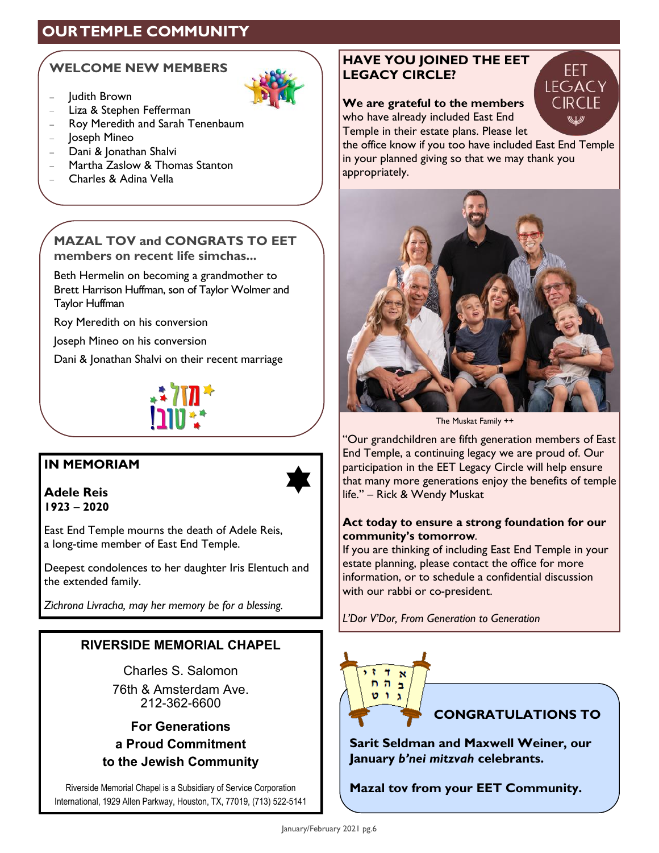# **OUR TEMPLE COMMUNITY**

# **WELCOME NEW MEMBERS**

- − Judith Brown
- − Liza & Stephen Fefferman
- − Roy Meredith and Sarah Tenenbaum
- − Joseph Mineo
- − Dani & Jonathan Shalvi
- − Martha Zaslow & Thomas Stanton
- − Charles & Adina Vella



Beth Hermelin on becoming a grandmother to Brett Harrison Huffman, son of Taylor Wolmer and Taylor Huffman

Roy Meredith on his conversion

Joseph Mineo on his conversion

Dani & Jonathan Shalvi on their recent marriage



# **IN MEMORIAM**

 $\bigstar$ 

**Adele Reis 1923** – **2020**

East End Temple mourns the death of Adele Reis, a long-time member of East End Temple.

Deepest condolences to her daughter Iris Elentuch and the extended family.

*Zichrona Livracha, may her memory be for a blessing.*

# **RIVERSIDE MEMORIAL CHAPEL**

Charles S. Salomon

76th & Amsterdam Ave. 212-362-6600

**For Generations a Proud Commitment to the Jewish Community**

Riverside Memorial Chapel is a Subsidiary of Service Corporation International, 1929 Allen Parkway, Houston, TX, 77019, (713) 522-5141

# **HAVE YOU JOINED THE EET LEGACY CIRCLE?**

**We are grateful to the members**  who have already included East End Temple in their estate plans. Please let



the office know if you too have included East End Temple in your planned giving so that we may thank you appropriately.



The Muskat Family ++

"Our grandchildren are fifth generation members of East End Temple, a continuing legacy we are proud of. Our participation in the EET Legacy Circle will help ensure that many more generations enjoy the benefits of temple life." – Rick & Wendy Muskat

## **Act today to ensure a strong foundation for our community's tomorrow**.

If you are thinking of including East End Temple in your estate planning, please contact the office for more information, or to schedule a confidential discussion with our rabbi or co-president.

*L'Dor V'Dor, From Generation to Generation*



**Sarit Seldman and Maxwell Weiner, our January** *b'nei mitzvah* **celebrants.** 

**Mazal tov from your EET Community.**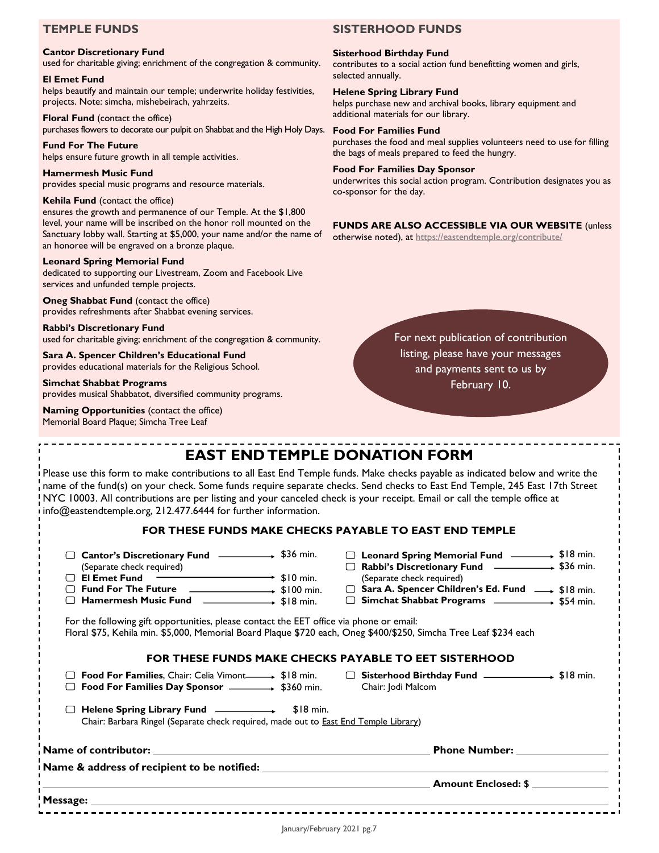### **TEMPLE FUNDS**

#### **Cantor Discretionary Fund**

used for charitable giving; enrichment of the congregation & community.

#### **El Emet Fund**

helps beautify and maintain our temple; underwrite holiday festivities, projects. Note: simcha, mishebeirach, yahrzeits.

**Floral Fund** (contact the office) purchases flowers to decorate our pulpit on Shabbat and the High Holy Days.

**Fund For The Future** helps ensure future growth in all temple activities.

**Hamermesh Music Fund** provides special music programs and resource materials.

#### **Kehila Fund** (contact the office)

ensures the growth and permanence of our Temple. At the \$1,800 level, your name will be inscribed on the honor roll mounted on the Sanctuary lobby wall. Starting at \$5,000, your name and/or the name of an honoree will be engraved on a bronze plaque.

#### **Leonard Spring Memorial Fund**

dedicated to supporting our Livestream, Zoom and Facebook Live services and unfunded temple projects.

**Oneg Shabbat Fund** (contact the office) provides refreshments after Shabbat evening services.

**Rabbi's Discretionary Fund** used for charitable giving; enrichment of the congregation & community.

**Sara A. Spencer Children's Educational Fund** provides educational materials for the Religious School.

#### **Simchat Shabbat Programs**

provides musical Shabbatot, diversified community programs.

**Naming Opportunities** (contact the office) Memorial Board Plaque; Simcha Tree Leaf

#### **SISTERHOOD FUNDS**

#### **Sisterhood Birthday Fund**

contributes to a social action fund benefitting women and girls, selected annually.

#### **Helene Spring Library Fund**

helps purchase new and archival books, library equipment and additional materials for our library.

#### **Food For Families Fund**

purchases the food and meal supplies volunteers need to use for filling the bags of meals prepared to feed the hungry.

#### **Food For Families Day Sponsor**

underwrites this social action program. Contribution designates you as co-sponsor for the day.

#### **FUNDS ARE ALSO ACCESSIBLE VIA OUR WEBSITE** (unless

otherwise noted), at<https://eastendtemple.org/contribute/>

For next publication of contribution listing, please have your messages and payments sent to us by February 10.

# **EAST END TEMPLE DONATION FORM**

Please use this form to make contributions to all East End Temple funds. Make checks payable as indicated below and write the name of the fund(s) on your check. Some funds require separate checks. Send checks to East End Temple, 245 East 17th Street NYC 10003. All contributions are per listing and your canceled check is your receipt. Email or call the temple office at info@eastendtemple.org, 212.477.6444 for further information.

#### **FOR THESE FUNDS MAKE CHECKS PAYABLE TO EAST END TEMPLE**

| □ Cantor's Discretionary Fund                                                  | $+$ \$36 min. |
|--------------------------------------------------------------------------------|---------------|
| $\langle C_{\alpha} \rangle$ , and the decoder of $\langle C_{\alpha} \rangle$ |               |

| (Separate check required) |                         |
|---------------------------|-------------------------|
| $\Box$ El Emet Fund       | $\rightarrow$ \$10 min. |

- **Fund For The Future**  $\rightarrow$  \$100 min.
- **Hamermesh Music Fund**  \$18 min.

 **Simchat Shabbat Programs**  \$54 min. For the following gift opportunities, please contact the EET office via phone or email:

Floral \$75, Kehila min. \$5,000, Memorial Board Plaque \$720 each, Oneg \$400/\$250, Simcha Tree Leaf \$234 each

#### **FOR THESE FUNDS MAKE CHECKS PAYABLE TO EET SISTERHOOD**

 **Food For Families**, Chair: Celia Vimont \$18 min.  **Food For Families Day Sponsor**  \$360 min.

□ Sisterhood Birthday Fund **<br>
■ Sisterhood Birthday Fund** 
→ \$18 min. Chair: Jodi Malcom

 **Rabbi's Discretionary Fund** (Separate check required)

# **Helene Spring Library Fund** \$18 min.

Chair: Barbara Ringel (Separate check required, made out to East End Temple Library)

**Name of contributor: Phone Number:** 

**Name & address of recipient to be notified:** 

**Amount Enclosed: \$** 

 **Leonard Spring Memorial Fund** \$18 min.

 $\rightarrow$  \$36 min.

 **Sara A. Spencer Children's Ed. Fund** \$18 min.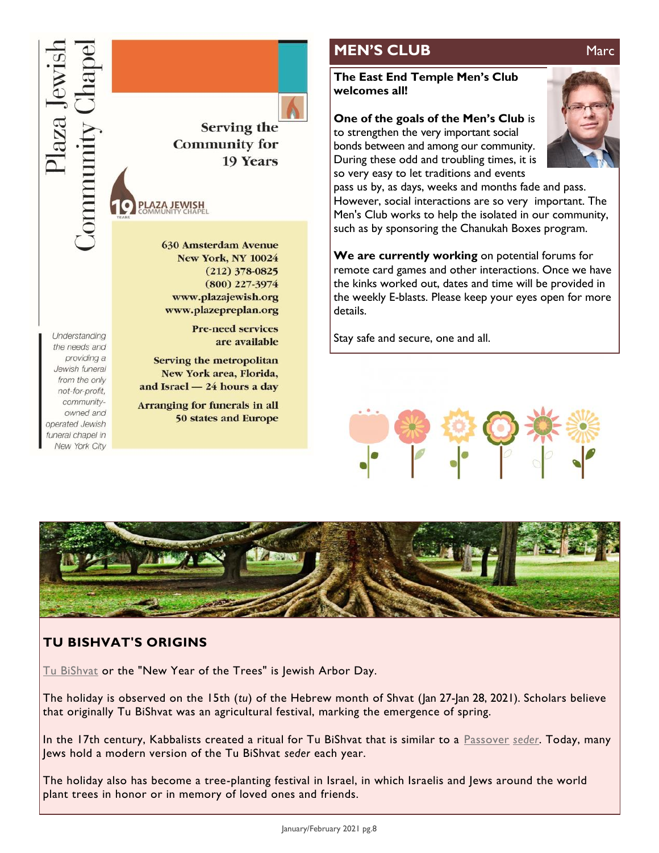Understanding

the needs and providing a

Jewish funeral

from the only

not-for-profit, community-

owned and

operated Jewish funeral chapel in New York City

Serving the **Community for** 19 Years **AZA JEWISH 630 Amsterdam Avenue New York, NY 10024**  $(212)$  378-0825  $(800)$  227-3974 www.plazajewish.org www.plazepreplan.org

> **Pre-need services** are available

Serving the metropolitan New York area, Florida, and Israel - 24 hours a day

**Arranging for funerals in all 50 states and Europe** 

# **MEN'S CLUB** Marc

#### **The East End Temple Men's Club welcomes all!**

**One of the goals of the Men's Club** is

to strengthen the very important social bonds between and among our community. During these odd and troubling times, it is so very easy to let traditions and events



pass us by, as days, weeks and months fade and pass. However, social interactions are so very important. The Men's Club works to help the isolated in our community, such as by sponsoring the Chanukah Boxes program.

**We are currently working** on potential forums for remote card games and other interactions. Once we have the kinks worked out, dates and time will be provided in the weekly E-blasts. Please keep your eyes open for more details.

Stay safe and secure, one and all.





# **TU BISHVAT'S ORIGINS**

[Tu BiShvat](https://reformjudaism.org/jewish-holidays/tu-bishvat) or the "New Year of the Trees" is Jewish Arbor Day.

The holiday is observed on the 15th (*tu*) of the Hebrew month of Shvat (Jan 27-Jan 28, 2021). Scholars believe that originally Tu BiShvat was an agricultural festival, marking the emergence of spring.

In the 17th century, Kabbalists created a ritual for Tu BiShvat that is similar to a [Passover](https://reformjudaism.org/jewish-holidays/passover) *[seder](https://reformjudaism.org/glossary/seder)*. Today, many Jews hold a modern version of the Tu BiShvat *seder* each year.

The holiday also has become a tree-planting festival in Israel, in which Israelis and Jews around the world plant trees in honor or in memory of loved ones and friends.